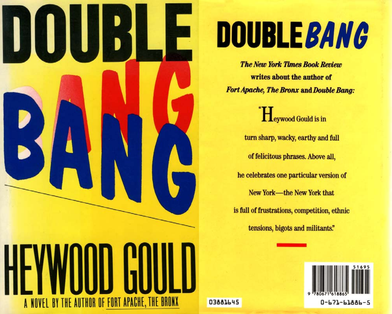

# **DOUBLEBANG**

**The New York Times Book Review** writes about the author of Fort Apache, The Bronx and Double Bang:

> Heywood Gould is in turn sharp, wacky, earthy and full

of felicitous phrases. Above all,

he celebrates one particular version of

New York-the New York that

is full of frustrations, competition, ethnic

tensions, bigots and militants."

 $0 - 571 - 51886 - 5$ 

03881645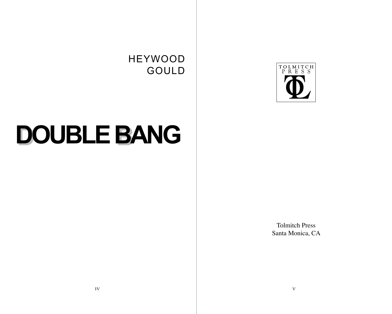### HEYWOOD GOULD



## **DOUBLE BANG**

Tolmitch Press Santa Monica, CA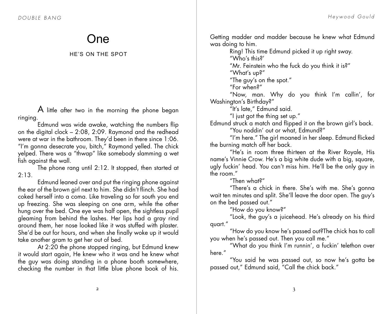## Dne:

#### HE'S ON THE SPOT

A little after two in the morning the phone began ringing.

Edmund was wide awake, watching the numbers flip on the digital clock – 2:08, 2:09. Raymond and the redhead were at war in the bathroom. They'd been in there since 1:06. "I'm gonna desecrate you, bitch," Raymond yelled. The chick yelped. There was a "thwap" like somebody slamming a wet fish against the wall.

The phone rang until 2:12. It stopped, then started at  $2.13$ 

Edmund leaned over and put the ringing phone against the ear of the brown girl next to him. She didn't flinch. She had coked herself into a coma. Like traveling so far south you end up freezing. She was sleeping on one arm, while the other hung over the bed. One eye was half open, the sightless pupil gleaming from behind the lashes. Her lips had a gray rind around them, her nose looked like it was stuffed with plaster. She'd be out for hours, and when she finally woke up it would take another gram to get her out of bed.

At 2:20 the phone stopped ringing, but Edmund knew it would start again, He knew who it was and he knew what the guy was doing standing in a phone booth somewhere, checking the number in that little blue phone book of his.

Getting madder and madder because he knew what Edmund was doing to him.

Ring! This time Edmund picked it up right sway. "Who's this?'

"Mr. Feinstein who the fuck do you think it is?"

"What's up?"

"The guy's on the spot."

"For when?"

"Now, man. Why do you think I'm callin', for Washington's Birthday?"

"It's late," Edmund said.

"I just got the thing set up."

Edmund struck a match and flipped it on the brown girl's back. "You noddin' out or what, Edmund?"

"I'm here." The girl moaned in her sleep. Edmund flicked the burning match off her back.

"He's in room three thirteen at the River Royale, His name's Vinnie Crow. He's a big white dude with a big, square, ugly fuckin' head. You can't miss him. He'll be the only guy in the room."

"Then what?"

"There's a chick in there. She's with me. She's gonna wait ten minutes and split. She'll leave the door open. The guy's on the bed passed out."

"How do you know?"

"Look, the guy's a juicehead. He's already on his third quart."

"How do you know he's passed out?The chick has to call you when he's passed out. Then you call me."

"What do you think I'm runnin', a fuckin' telethon over here."

"You said he was passed out, so now he's gotta be passed out," Edmund said, "Call the chick back."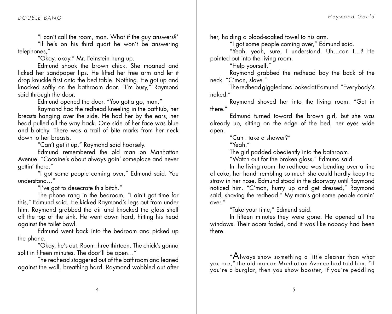"I can't call the room, man. What if the guy answers?' "If he's on his third quart he won't be answering telephones,"

"Okay, okay." Mr. Feinstein hung up.

Edmund shook the brown chick. She moaned and licked her sandpaper lips. He lifted her free arm and let it drop knuckle first onto the bed table. Nothing. He got up and knocked softly on the bathroom door. "I'm busy," Raymond said through the door.

Edmund opened the door. "You gotta go, man."

Raymond had the redhead kneeling in the bathtub, her breasts hanging over the side. He had her by the ears, her head pulled all the way back. One side of her face was blue and blotchy. There was a trail of bite marks from her neck down to her breasts.

"Can't get it up," Raymond said hoarsely.

Edmund remembered the old man on Manhattan Avenue. "Cocaine's about always goin' someplace and never gettin' there."

"I got some people coming over," Edmund said. You understand…"

"I've got to desecrate this bitch."

The phone rang in the bedroom, "I ain't got time for this," Edmund said. He kicked Raymond's legs out from under him. Raymond grabbed the air and knocked the glass shelf off the top of the sink. He went down hard, hitting his head against the toilet bowl.

Edmund went back into the bedroom and picked up the phone.

"Okay, he's out. Room three thirteen. The chick's gonna split in fifteen minutes. The door'll be open…"

The redhead staggered out of the bathroom and leaned against the wall, breathing hard. Raymond wobbled out after

her, holding a blood-soaked towel to his arm.

"I got some people coming over," Edmund said.

"Yeah, yeah, sure, I understand. Uh…can I…? He pointed out into the living room.

"Help yourself."

Raymond grabbed the redhead bay the back of the neck. "C'mon, slave."

The redhead giggled and looked at Edmund. "Everybody's naked."

Raymond shoved her into the living room. "Get in there."

Edmund turned toward the brown girl, but she was already up, sitting on the edge of the bed, her eyes wide open.

"Can I take a shower?"

"Yeah."

The girl padded obediently into the bathroom.

"Watch out for the broken glass," Edmund said.

In the living room the redhead was bending over a line of coke, her hand trembling so much she could hardly keep the straw in her nose. Edmund stood in the doorway until Raymond noticed him. "C'mon, hurry up and get dressed," Raymond said, shoving the redhead." My man's got some people comin' over."

"Take your time," Edmund said.

In fifteen minutes they were gone. He opened all the windows. Their odors faded, and it was like nobody had been there.

"Always show something a little cleaner than what you are," the old man on Manhattan Avenue had told him. "If you're a burglar, then you show booster, if you're peddling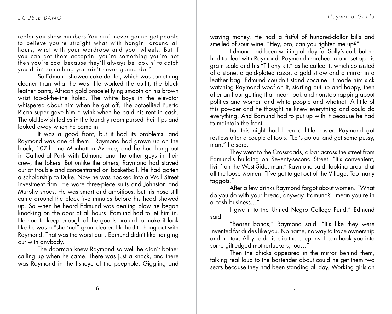reefer you show numbers You ain't never gonna get people to believe you're straight what with hangin' around all hours, what with your wardrobe and your wheels. But if you can get them acceptin' you're something you're not then you're cool because they'll always be lookin' to catch you doin' something you ain't never gonna do."

So Edmund showed coke dealer, which was something cleaner than what he was. He worked the outfit, the black leather pants, African gold bracelet lying smooth on his brown wrist top-of-the-line Rolex. The white boys in the elevator whispered about him when he got off. The potbellied Puerto Rican super gave him a wink when he paid his rent in cash. The old Jewish ladies in the laundry room pursed their lips and looked away when he came in.

It was a good front, but it had its problems, and Raymond was one of them. Raymond had grown up on the block, 107th and Manhattan Avenue, and he had hung out in Cathedral Park with Edmund and the other guys in their crew, the Jokers. But unlike the others, Raymond had stayed out of trouble and concentrated on basketball. He had gotten a scholarship to Duke. Now he was hooked into a Wall Street investment firm. He wore three-piece suits and Johnston and Murphy shoes. He was smart and ambitious, but his nose still came around the block five minutes before his head showed up. So when he heard Edmund was dealing blow he began knocking on the door at all hours. Edmund had to let him in. He had to keep enough of the goods around to make it look like he was a "sho 'nuf" gram dealer. He had to hang out with Raymond. That was the worst part. Edmund didn't like hanging out with anybody.

The doorman knew Raymond so well he didn't bother calling up when he came. There was just a knock, and there was Raymond in the fisheye of the peephole. Giggling and

waving money. He had a fistful of hundred-dollar bills and smelled of sour wine, "Hey, bro, can you tighten me up?"

Edmund had been waiting all day for Sally's call, but he had to deal with Raymond. Raymond marched in and set up his gram scale and his "Tiffany kit," as he called it, which consisted of a stone, a gold-plated razor, a gold straw and a mirror in a leather bag. Edmund couldn't stand cocaine. It made him sick watching Raymond woof on it, starting out up and happy, then after an hour getting that mean look and nonstop rapping about politics and women and white people and whatnot. A little of this powder and he thought he knew everything and could do everything. And Edmund had to put up with it because he had to maintain the front.

But this night had been a little easier. Raymond got restless after a couple of toots. "Let's go out and get some pussy, man," he said.

They went to the Crossroads, a bar across the street from Edmund's building on Seventy-second Street. "It's convenient, livin' on the West Side, man," Raymond said, looking around at all the loose women. "I've got to get out of the Village. Too many faggots."

After a few drinks Raymond forgot about women. "What do you do with your bread, anyway, Edmund? I mean you're in a cash business…"

I give it to the United Negro College Fund," Edmund said.

"Bearer bonds," Raymond said. "It's like they were invented for dudes like you. No name, no way to trace ownership and no tax. All you do is clip the coupons. I can hook you into some gilt-edged motherfuckers, too…"

Then the chicks appeared in the mirror behind them, talking real loud to the bartender about could he get them two seats because they had been standing all day. Working girls on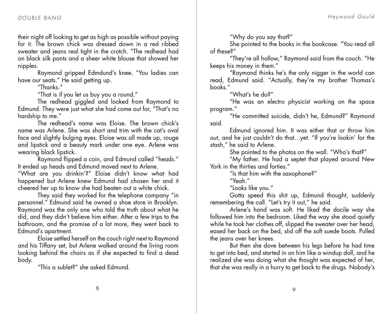their night off looking to get as high as possible without paying for it. The brown chick was dressed down in a red ribbed sweater and jeans real tight in the crotch. "The redhead had on black silk pants and a sheer white blouse that showed her nipples.

Raymond gripped Edmdund's knee. "You ladies can have our seats." He said getting up.

"Thanks."

"That is if you let us buy you a round."

The redhead giggled and looked from Raymond to Edmund. They were just what she had come out for, "That's no hardship to me."

The redhead's name was Eloise. The brown chick's name was Arlene. She was short and trim with the cat's oval face and slightly bulging eyes. Eloise was all made up, rouge and lipstick and a beauty mark under one eye. Arlene was wearing black lipstick.

Raymond flipped a coin, and Edmund called "heads." It ended up heads and Edmund moved next to Arlene.

"What are you drinkin'?" Eloise didn't know what had happened but Arlene knew Edmund had chosen her and it cheered her up to know she had beaten out a white chick.

They said they worked for the telephone company "in personnel." Edmund said he owned a shoe store in Brooklyn. Raymond was the only one who told the truth about what he did, and they didn't believe him either. After a few trips to the bathroom, and the promise of a lot more, they went back to Edmund's apartment.

Eloise settled herself on the couch right next to Raymond and his Tiffany set, but Arlene walked around the living room looking behind the chairs as if she expected to find a dead body.

"This a sublet?" she asked Edmund.

"Why do you say that?"

She pointed to the books in the bookcase. "You read all of these?"

"They're all hollow," Raymond said from the couch. "He keeps his money in them."

"Raymond thinks he's the only nigger in the world can read, Edmund said. "Actually, they're my brother Thomas's books."

"What's he do?"

"He was an electro physicist working on the space program."

"He committed suicide, didn't he, Edmund?" Raymond said.

Edmund ignored him. It was either that or throw him out, and he just couldn't do that…yet. "If you're lookin' for the stash," he said to Arlene.

She pointed to the photos on the wall. "Who's that?"

"My father. He had a septet that played around New York in the thirties and forties."

"Is that him with the saxophone?"

"Yeah."

"Looks like you."

Gotta speed this shit up, Edmund thought, suddenly remembering the call. "Let's try it out," he said.

Arlene's hand was soft. He liked the docile way she followed him into the bedroom. Liked the way she stood quietly while he took her clothes off, slipped the sweater over her head, eased her back on the bed, slid off the soft suede boots. Pulled the jeans over her knees.

But then she dove between his legs before he had time to get into bed, and started in on him like a windup doll, and he realized she was doing what she thought was expected of her, that she was really in a hurry to get back to the drugs. Nobody's